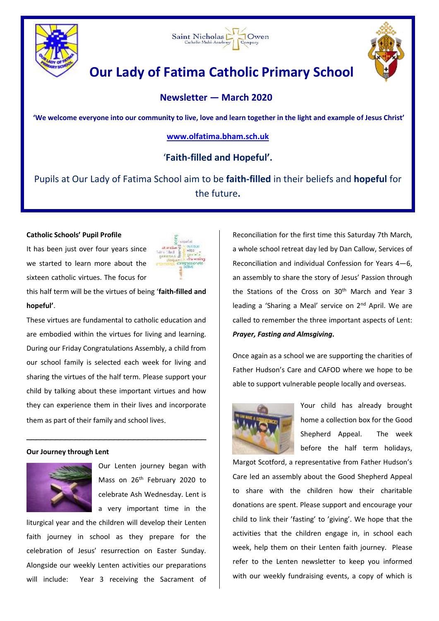





# **Our Lady of Fatima Catholic Primary School**

# **Newsletter — March 2020**

**'We welcome everyone into our community to live, love and learn together in the light and example of Jesus Christ'**

# **[www.olfatima.bham.sch.uk](http://www.olfatima.bham.sch.uk/)**

# '**Faith-filled and Hopeful'.**

Pupils at Our Lady of Fatima School aim to be **faith-filled** in their beliefs and **hopeful** for the future**.**

## **Catholic Schools' Pupil Profile**

It has been just over four years since we started to learn more about the sixteen catholic virtues. The focus for

this half term will be the virtues of being '**faith-filled and hopeful'**.

These virtues are fundamental to catholic education and are embodied within the virtues for living and learning. During our Friday Congratulations Assembly, a child from our school family is selected each week for living and sharing the virtues of the half term. Please support your child by talking about these important virtues and how they can experience them in their lives and incorporate them as part of their family and school lives.

\_\_\_\_\_\_\_\_\_\_\_\_\_\_\_\_\_\_\_\_\_\_\_\_\_\_\_\_\_\_\_\_\_\_\_\_\_

#### **Our Journey through Lent**



Our Lenten journey began with Mass on 26<sup>th</sup> February 2020 to celebrate Ash Wednesday. Lent is a very important time in the

liturgical year and the children will develop their Lenten faith journey in school as they prepare for the celebration of Jesus' resurrection on Easter Sunday. Alongside our weekly Lenten activities our preparations will include: Year 3 receiving the Sacrament of

Reconciliation for the first time this Saturday 7th March, a whole school retreat day led by Dan Callow, Services of Reconciliation and individual Confession for Years 4—6, an assembly to share the story of Jesus' Passion through the Stations of the Cross on 30<sup>th</sup> March and Year 3 leading a 'Sharing a Meal' service on 2<sup>nd</sup> April. We are called to remember the three important aspects of Lent: *Prayer, Fasting and Almsgiving***.**

Once again as a school we are supporting the charities of Father Hudson's Care and CAFOD where we hope to be able to support vulnerable people locally and overseas.



Your child has already brought home a collection box for the Good Shepherd Appeal. The week before the half term holidays,

Margot Scotford, a representative from Father Hudson's Care led an assembly about the Good Shepherd Appeal to share with the children how their charitable donations are spent. Please support and encourage your child to link their 'fasting' to 'giving'. We hope that the activities that the children engage in, in school each week, help them on their Lenten faith journey. Please refer to the Lenten newsletter to keep you informed with our weekly fundraising events, a copy of which is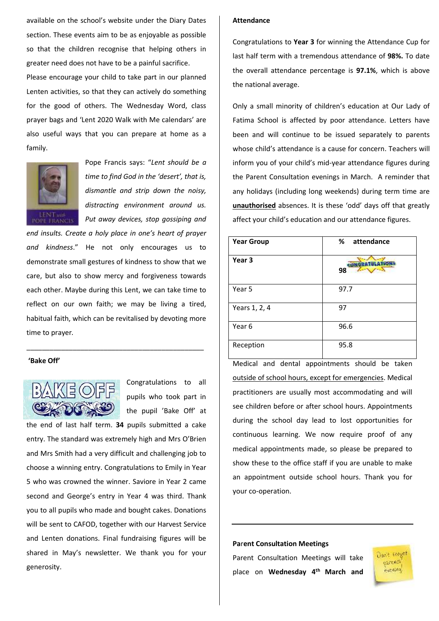available on the school's website under the Diary Dates section. These events aim to be as enjoyable as possible so that the children recognise that helping others in greater need does not have to be a painful sacrifice. Please encourage your child to take part in our planned Lenten activities, so that they can actively do something for the good of others. The Wednesday Word, class prayer bags and 'Lent 2020 Walk with Me calendars' are also useful ways that you can prepare at home as a family.



Pope Francis says: "*Lent should be a time to find God in the 'desert', that is, dismantle and strip down the noisy, distracting environment around us. Put away devices, stop gossiping and* 

*end insults. Create a holy place in one's heart of prayer and kindness*." He not only encourages us to demonstrate small gestures of kindness to show that we care, but also to show mercy and forgiveness towards each other. Maybe during this Lent, we can take time to reflect on our own faith; we may be living a tired, habitual faith, which can be revitalised by devoting more time to prayer*.*

\_\_\_\_\_\_\_\_\_\_\_\_\_\_\_\_\_\_\_\_\_\_\_\_\_\_\_\_\_\_\_\_\_\_\_\_\_\_\_\_\_\_\_\_\_\_

#### **'Bake Off'**



Congratulations to all pupils who took part in the pupil 'Bake Off' at

the end of last half term. **34** pupils submitted a cake entry. The standard was extremely high and Mrs O'Brien and Mrs Smith had a very difficult and challenging job to choose a winning entry. Congratulations to Emily in Year 5 who was crowned the winner. Saviore in Year 2 came second and George's entry in Year 4 was third. Thank you to all pupils who made and bought cakes. Donations will be sent to CAFOD, together with our Harvest Service and Lenten donations. Final fundraising figures will be shared in May's newsletter. We thank you for your generosity.

#### **Attendance**

Congratulations to **Year 3** for winning the Attendance Cup for last half term with a tremendous attendance of **98%.** To date the overall attendance percentage is **97.1%**, which is above the national average.

Only a small minority of children's education at Our Lady of Fatima School is affected by poor attendance. Letters have been and will continue to be issued separately to parents whose child's attendance is a cause for concern. Teachers will inform you of your child's mid-year attendance figures during the Parent Consultation evenings in March. A reminder that any holidays (including long weekends) during term time are **unauthorised** absences. It is these 'odd' days off that greatly affect your child's education and our attendance figures.

| <b>Year Group</b> | %<br>attendance |
|-------------------|-----------------|
| Year 3            | 98              |
| Year 5            | 97.7            |
| Years 1, 2, 4     | 97              |
| Year 6            | 96.6            |
| Reception         | 95.8            |

Medical and dental appointments should be taken outside of school hours, except for emergencies. Medical practitioners are usually most accommodating and will see children before or after school hours. Appointments during the school day lead to lost opportunities for continuous learning. We now require proof of any medical appointments made, so please be prepared to show these to the office staff if you are unable to make an appointment outside school hours. Thank you for your co-operation.

#### **Pa**r**ent Consultation Meetings**

Parent Consultation Meetings will take place on **Wednesday 4th March and** 

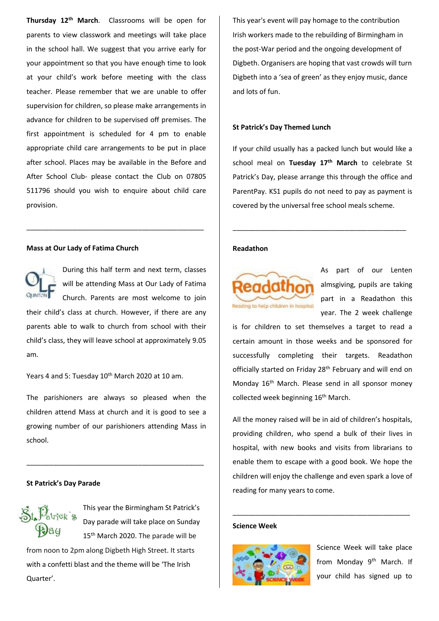**Thursday 12th March**. Classrooms will be open for parents to view classwork and meetings will take place in the school hall. We suggest that you arrive early for your appointment so that you have enough time to look at your child's work before meeting with the class teacher. Please remember that we are unable to offer supervision for children, so please make arrangements in advance for children to be supervised off premises. The first appointment is scheduled for 4 pm to enable appropriate child care arrangements to be put in place after school. Places may be available in the Before and After School Club- please contact the Club on 07805 511796 should you wish to enquire about child care provision.

#### **Mass at Our Lady of Fatima Church**



During this half term and next term, classes will be attending Mass at Our Lady of Fatima Church. Parents are most welcome to join

their child's class at church. However, if there are any parents able to walk to church from school with their child's class, they will leave school at approximately 9.05 am.

\_\_\_\_\_\_\_\_\_\_\_\_\_\_\_\_\_\_\_\_\_\_\_\_\_\_\_\_\_\_\_\_\_\_\_\_\_\_\_\_\_\_\_\_\_\_

Years 4 and 5: Tuesday 10<sup>th</sup> March 2020 at 10 am.

The parishioners are always so pleased when the children attend Mass at church and it is good to see a growing number of our parishioners attending Mass in school.

\_\_\_\_\_\_\_\_\_\_\_\_\_\_\_\_\_\_\_\_\_\_\_\_\_\_\_\_\_\_\_\_\_\_\_\_\_\_\_\_\_\_\_\_\_\_

#### **St Patrick's Day Parade**



This year the Birmingham St Patrick's Day parade will take place on Sunday 15<sup>th</sup> March 2020. The parade will be

from noon to 2pm along Digbeth High Street. It starts with a confetti blast and the theme will be 'The Irish Quarter'.

This year's event will pay homage to the contribution Irish workers made to the rebuilding of Birmingham in the post-War period and the ongoing development of Digbeth. Organisers are hoping that vast crowds will turn Digbeth into a 'sea of green' as they enjoy music, dance and lots of fun.

#### **St Patrick's Day Themed Lunch**

If your child usually has a packed lunch but would like a school meal on **Tuesday 17th March** to celebrate St Patrick's Day, please arrange this through the office and ParentPay. KS1 pupils do not need to pay as payment is covered by the universal free school meals scheme.

\_\_\_\_\_\_\_\_\_\_\_\_\_\_\_\_\_\_\_\_\_\_\_\_\_\_\_\_\_\_\_\_\_\_\_\_\_\_\_\_\_\_\_\_\_

#### **Readathon**



As part of our Lenten almsgiving, pupils are taking part in a Readathon this year. The 2 week challenge

is for children to set themselves a target to read a certain amount in those weeks and be sponsored for successfully completing their targets. Readathon officially started on Friday 28<sup>th</sup> February and will end on Monday 16<sup>th</sup> March. Please send in all sponsor money collected week beginning 16<sup>th</sup> March.

All the money raised will be in aid of children's hospitals, providing children, who spend a bulk of their lives in hospital, with new books and visits from librarians to enable them to escape with a good book. We hope the children will enjoy the challenge and even spark a love of reading for many years to come.

\_\_\_\_\_\_\_\_\_\_\_\_\_\_\_\_\_\_\_\_\_\_\_\_\_\_\_\_\_\_\_\_\_\_\_\_\_\_\_\_\_\_\_\_\_\_

#### **Science Week**



Science Week will take place from Monday 9<sup>th</sup> March. If your child has signed up to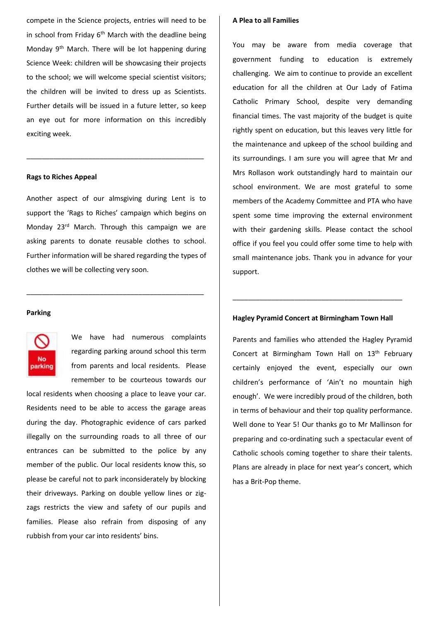compete in the Science projects, entries will need to be in school from Friday  $6<sup>th</sup>$  March with the deadline being Monday 9th March. There will be lot happening during Science Week: children will be showcasing their projects to the school; we will welcome special scientist visitors; the children will be invited to dress up as Scientists. Further details will be issued in a future letter, so keep an eye out for more information on this incredibly exciting week.

#### **Rags to Riches Appeal**

Another aspect of our almsgiving during Lent is to support the 'Rags to Riches' campaign which begins on Monday 23<sup>rd</sup> March. Through this campaign we are asking parents to donate reusable clothes to school. Further information will be shared regarding the types of clothes we will be collecting very soon.

\_\_\_\_\_\_\_\_\_\_\_\_\_\_\_\_\_\_\_\_\_\_\_\_\_\_\_\_\_\_\_\_\_\_\_\_\_\_\_\_\_\_\_\_\_\_

\_\_\_\_\_\_\_\_\_\_\_\_\_\_\_\_\_\_\_\_\_\_\_\_\_\_\_\_\_\_\_\_\_\_\_\_\_\_\_\_\_\_\_\_\_\_

#### **Parking**



We have had numerous complaints regarding parking around school this term from parents and local residents. Please remember to be courteous towards our

local residents when choosing a place to leave your car. Residents need to be able to access the garage areas during the day. Photographic evidence of cars parked illegally on the surrounding roads to all three of our entrances can be submitted to the police by any member of the public. Our local residents know this, so please be careful not to park inconsiderately by blocking their driveways. Parking on double yellow lines or zigzags restricts the view and safety of our pupils and families. Please also refrain from disposing of any rubbish from your car into residents' bins.

#### **A Plea to all Families**

You may be aware from media coverage that government funding to education is extremely challenging. We aim to continue to provide an excellent education for all the children at Our Lady of Fatima Catholic Primary School, despite very demanding financial times. The vast majority of the budget is quite rightly spent on education, but this leaves very little for the maintenance and upkeep of the school building and its surroundings. I am sure you will agree that Mr and Mrs Rollason work outstandingly hard to maintain our school environment. We are most grateful to some members of the Academy Committee and PTA who have spent some time improving the external environment with their gardening skills. Please contact the school office if you feel you could offer some time to help with small maintenance jobs. Thank you in advance for your support.

## **Hagley Pyramid Concert at Birmingham Town Hall**

\_\_\_\_\_\_\_\_\_\_\_\_\_\_\_\_\_\_\_\_\_\_\_\_\_\_\_\_\_\_\_\_\_\_\_\_\_\_\_\_\_\_\_\_

Parents and families who attended the Hagley Pyramid Concert at Birmingham Town Hall on 13<sup>th</sup> February certainly enjoyed the event, especially our own children's performance of 'Ain't no mountain high enough'. We were incredibly proud of the children, both in terms of behaviour and their top quality performance. Well done to Year 5! Our thanks go to Mr Mallinson for preparing and co-ordinating such a spectacular event of Catholic schools coming together to share their talents. Plans are already in place for next year's concert, which has a Brit-Pop theme.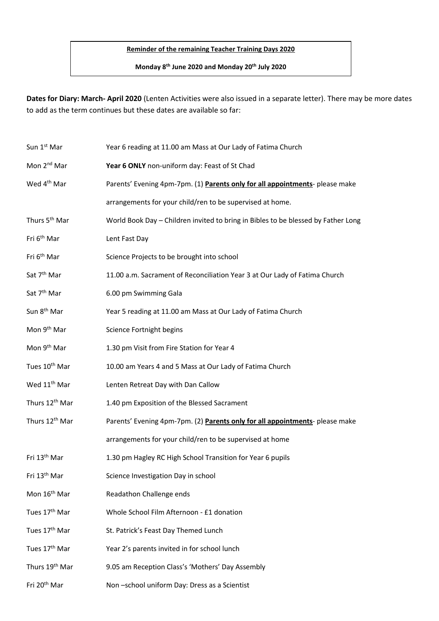## **Reminder of the remaining Teacher Training Days 2020**

**Monday 8th June 2020 and Monday 20th July 2020**

**Dates for Diary: March- April 2020** (Lenten Activities were also issued in a separate letter). There may be more dates to add as the term continues but these dates are available so far:

| Sun 1st Mar                | Year 6 reading at 11.00 am Mass at Our Lady of Fatima Church                      |
|----------------------------|-----------------------------------------------------------------------------------|
| Mon 2 <sup>nd</sup> Mar    | Year 6 ONLY non-uniform day: Feast of St Chad                                     |
| Wed 4 <sup>th</sup> Mar    | Parents' Evening 4pm-7pm. (1) Parents only for all appointments- please make      |
|                            | arrangements for your child/ren to be supervised at home.                         |
| Thurs 5 <sup>th</sup> Mar  | World Book Day - Children invited to bring in Bibles to be blessed by Father Long |
| Fri 6 <sup>th</sup> Mar    | Lent Fast Day                                                                     |
| Fri 6 <sup>th</sup> Mar    | Science Projects to be brought into school                                        |
| Sat 7 <sup>th</sup> Mar    | 11.00 a.m. Sacrament of Reconciliation Year 3 at Our Lady of Fatima Church        |
| Sat 7 <sup>th</sup> Mar    | 6.00 pm Swimming Gala                                                             |
| Sun 8 <sup>th</sup> Mar    | Year 5 reading at 11.00 am Mass at Our Lady of Fatima Church                      |
| Mon 9 <sup>th</sup> Mar    | Science Fortnight begins                                                          |
| Mon 9 <sup>th</sup> Mar    | 1.30 pm Visit from Fire Station for Year 4                                        |
| Tues 10 <sup>th</sup> Mar  | 10.00 am Years 4 and 5 Mass at Our Lady of Fatima Church                          |
| Wed 11 <sup>th</sup> Mar   | Lenten Retreat Day with Dan Callow                                                |
| Thurs 12 <sup>th</sup> Mar | 1.40 pm Exposition of the Blessed Sacrament                                       |
| Thurs 12 <sup>th</sup> Mar | Parents' Evening 4pm-7pm. (2) Parents only for all appointments- please make      |
|                            | arrangements for your child/ren to be supervised at home                          |
| Fri 13 <sup>th</sup> Mar   | 1.30 pm Hagley RC High School Transition for Year 6 pupils                        |
| Fri 13 <sup>th</sup> Mar   | Science Investigation Day in school                                               |
| Mon 16 <sup>th</sup> Mar   | Readathon Challenge ends                                                          |
| Tues 17 <sup>th</sup> Mar  | Whole School Film Afternoon - £1 donation                                         |
| Tues 17 <sup>th</sup> Mar  | St. Patrick's Feast Day Themed Lunch                                              |
| Tues 17 <sup>th</sup> Mar  | Year 2's parents invited in for school lunch                                      |
| Thurs 19 <sup>th</sup> Mar | 9.05 am Reception Class's 'Mothers' Day Assembly                                  |
| Fri 20 <sup>th</sup> Mar   | Non-school uniform Day: Dress as a Scientist                                      |